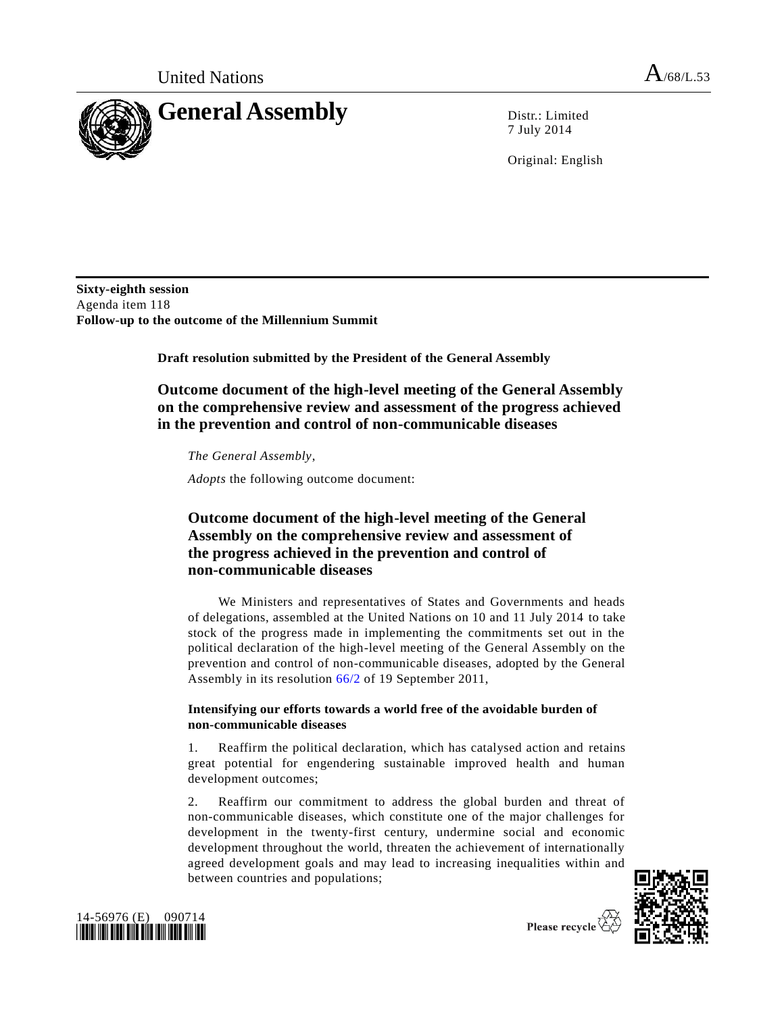

7 July 2014

Original: English

**Sixty-eighth session** Agenda item 118 **Follow-up to the outcome of the Millennium Summit**

**Draft resolution submitted by the President of the General Assembly**

# **Outcome document of the high-level meeting of the General Assembly on the comprehensive review and assessment of the progress achieved in the prevention and control of non-communicable diseases**

*The General Assembly*,

*Adopts* the following outcome document:

# **Outcome document of the high-level meeting of the General Assembly on the comprehensive review and assessment of the progress achieved in the prevention and control of non-communicable diseases**

We Ministers and representatives of States and Governments and heads of delegations, assembled at the United Nations on 10 and 11 July 2014 to take stock of the progress made in implementing the commitments set out in the political declaration of the high-level meeting of the General Assembly on the prevention and control of non-communicable diseases, adopted by the General Assembly in its resolution [66/2](http://undocs.org/A/RES/66/2) of 19 September 2011,

## **Intensifying our efforts towards a world free of the avoidable burden of non-communicable diseases**

1. Reaffirm the political declaration, which has catalysed action and retains great potential for engendering sustainable improved health and human development outcomes;

2. Reaffirm our commitment to address the global burden and threat of non-communicable diseases, which constitute one of the major challenges for development in the twenty-first century, undermine social and economic development throughout the world, threaten the achievement of internationally agreed development goals and may lead to increasing inequalities within and between countries and populations;



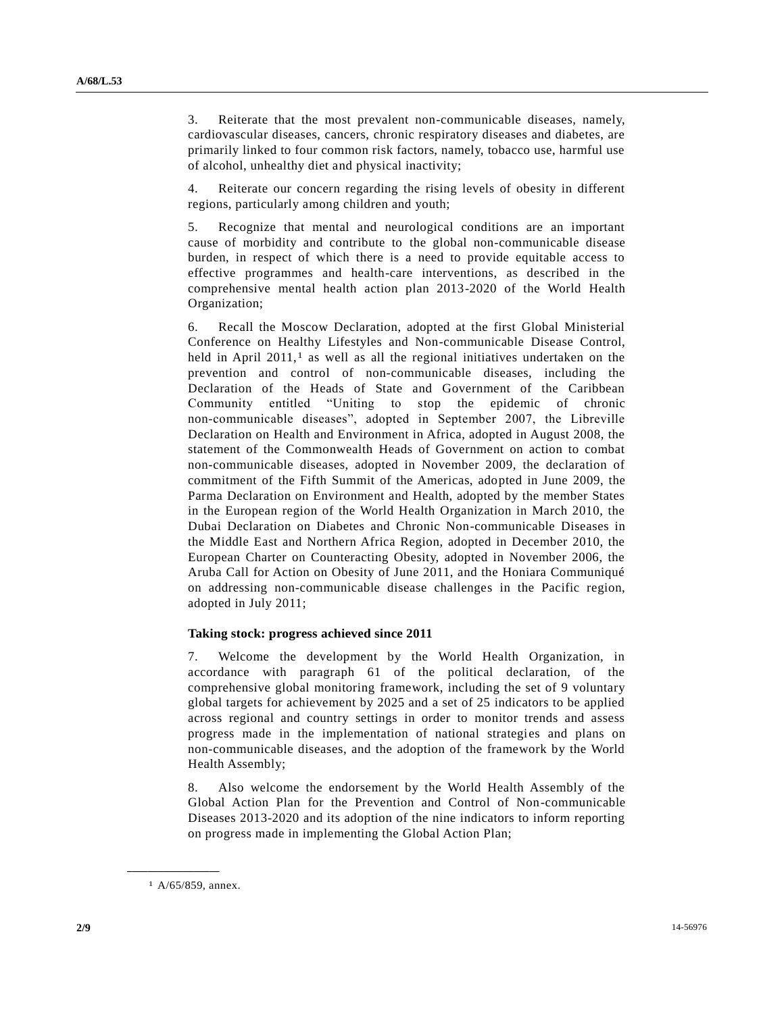3. Reiterate that the most prevalent non-communicable diseases, namely, cardiovascular diseases, cancers, chronic respiratory diseases and diabetes, are primarily linked to four common risk factors, namely, tobacco use, harmful use of alcohol, unhealthy diet and physical inactivity;

4. Reiterate our concern regarding the rising levels of obesity in different regions, particularly among children and youth;

5. Recognize that mental and neurological conditions are an important cause of morbidity and contribute to the global non-communicable disease burden, in respect of which there is a need to provide equitable access to effective programmes and health-care interventions, as described in the comprehensive mental health action plan 2013-2020 of the World Health Organization;

6. Recall the Moscow Declaration, adopted at the first Global Ministerial Conference on Healthy Lifestyles and Non-communicable Disease Control, held in April  $2011<sup>1</sup>$  as well as all the regional initiatives undertaken on the prevention and control of non-communicable diseases, including the Declaration of the Heads of State and Government of the Caribbean Community entitled "Uniting to stop the epidemic of chronic non-communicable diseases", adopted in September 2007, the Libreville Declaration on Health and Environment in Africa, adopted in August 2008, the statement of the Commonwealth Heads of Government on action to combat non-communicable diseases, adopted in November 2009, the declaration of commitment of the Fifth Summit of the Americas, adopted in June 2009, the Parma Declaration on Environment and Health, adopted by the member States in the European region of the World Health Organization in March 2010, the Dubai Declaration on Diabetes and Chronic Non-communicable Diseases in the Middle East and Northern Africa Region, adopted in December 2010, the European Charter on Counteracting Obesity, adopted in November 2006, the Aruba Call for Action on Obesity of June 2011, and the Honiara Communiqué on addressing non-communicable disease challenges in the Pacific region, adopted in July 2011;

### **Taking stock: progress achieved since 2011**

7. Welcome the development by the World Health Organization, in accordance with paragraph 61 of the political declaration, of the comprehensive global monitoring framework, including the set of 9 voluntary global targets for achievement by 2025 and a set of 25 indicators to be applied across regional and country settings in order to monitor trends and assess progress made in the implementation of national strategies and plans on non-communicable diseases, and the adoption of the framework by the World Health Assembly;

8. Also welcome the endorsement by the World Health Assembly of the Global Action Plan for the Prevention and Control of Non-communicable Diseases 2013-2020 and its adoption of the nine indicators to inform reporting on progress made in implementing the Global Action Plan;

**\_\_\_\_\_\_\_\_\_\_\_\_\_\_\_\_\_\_**

<sup>1</sup> A/65/859, annex.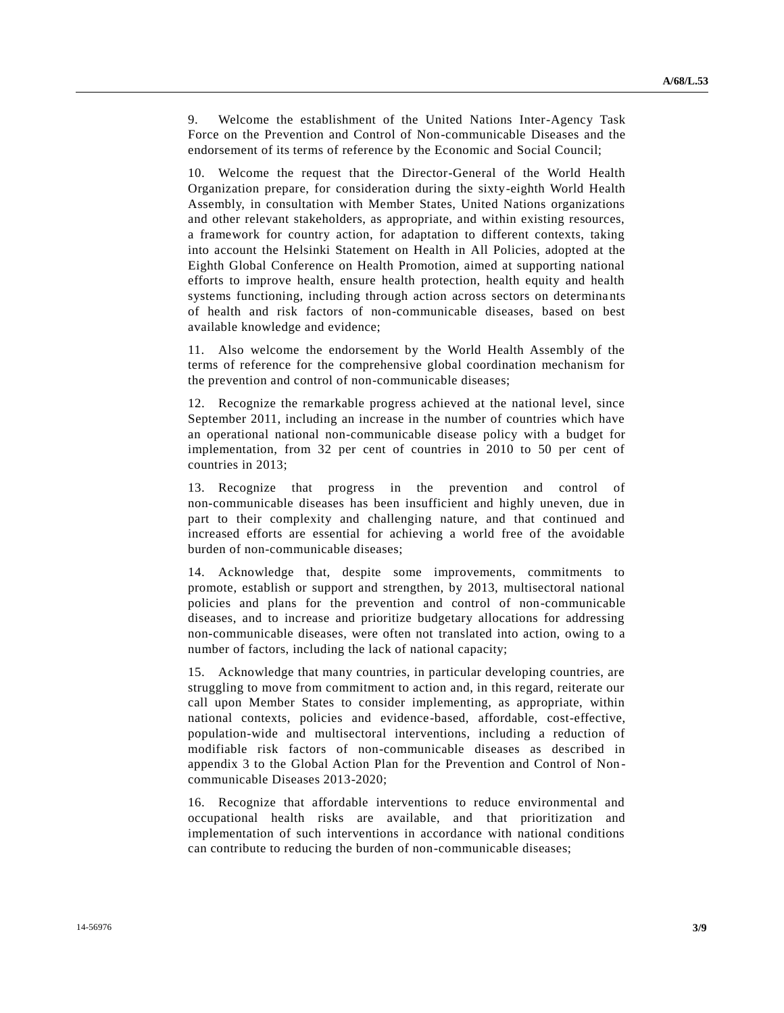9. Welcome the establishment of the United Nations Inter-Agency Task Force on the Prevention and Control of Non-communicable Diseases and the endorsement of its terms of reference by the Economic and Social Council;

10. Welcome the request that the Director-General of the World Health Organization prepare, for consideration during the sixty-eighth World Health Assembly, in consultation with Member States, United Nations organizations and other relevant stakeholders, as appropriate, and within existing resources, a framework for country action, for adaptation to different contexts, taking into account the Helsinki Statement on Health in All Policies, adopted at the Eighth Global Conference on Health Promotion, aimed at supporting national efforts to improve health, ensure health protection, health equity and health systems functioning, including through action across sectors on determinants of health and risk factors of non-communicable diseases, based on best available knowledge and evidence;

11. Also welcome the endorsement by the World Health Assembly of the terms of reference for the comprehensive global coordination mechanism for the prevention and control of non-communicable diseases;

12. Recognize the remarkable progress achieved at the national level, since September 2011, including an increase in the number of countries which have an operational national non-communicable disease policy with a budget for implementation, from 32 per cent of countries in 2010 to 50 per cent of countries in 2013;

13. Recognize that progress in the prevention and control of non-communicable diseases has been insufficient and highly uneven, due in part to their complexity and challenging nature, and that continued and increased efforts are essential for achieving a world free of the avoidable burden of non-communicable diseases;

14. Acknowledge that, despite some improvements, commitments to promote, establish or support and strengthen, by 2013, multisectoral national policies and plans for the prevention and control of non-communicable diseases, and to increase and prioritize budgetary allocations for addressing non-communicable diseases, were often not translated into action, owing to a number of factors, including the lack of national capacity;

15. Acknowledge that many countries, in particular developing countries, are struggling to move from commitment to action and, in this regard, reiterate our call upon Member States to consider implementing, as appropriate, within national contexts, policies and evidence-based, affordable, cost-effective, population-wide and multisectoral interventions, including a reduction of modifiable risk factors of non-communicable diseases as described in appendix 3 to the Global Action Plan for the Prevention and Control of Non communicable Diseases 2013-2020;

16. Recognize that affordable interventions to reduce environmental and occupational health risks are available, and that prioritization and implementation of such interventions in accordance with national conditions can contribute to reducing the burden of non-communicable diseases;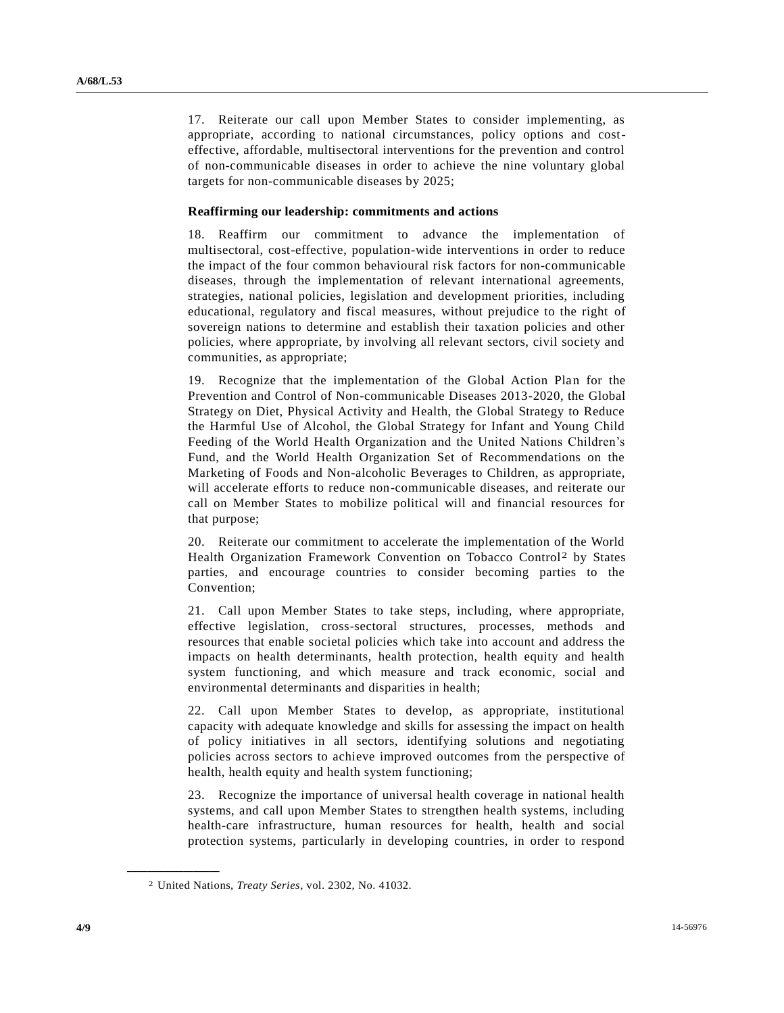17. Reiterate our call upon Member States to consider implementing, as appropriate, according to national circumstances, policy options and costeffective, affordable, multisectoral interventions for the prevention and control of non-communicable diseases in order to achieve the nine voluntary global targets for non-communicable diseases by 2025;

#### **Reaffirming our leadership: commitments and actions**

18. Reaffirm our commitment to advance the implementation of multisectoral, cost-effective, population-wide interventions in order to reduce the impact of the four common behavioural risk factors for non-communicable diseases, through the implementation of relevant international agreements, strategies, national policies, legislation and development priorities, including educational, regulatory and fiscal measures, without prejudice to the right of sovereign nations to determine and establish their taxation policies and other policies, where appropriate, by involving all relevant sectors, civil society and communities, as appropriate;

19. Recognize that the implementation of the Global Action Plan for the Prevention and Control of Non-communicable Diseases 2013-2020, the Global Strategy on Diet, Physical Activity and Health, the Global Strategy to Reduce the Harmful Use of Alcohol, the Global Strategy for Infant and Young Child Feeding of the World Health Organization and the United Nations Children's Fund, and the World Health Organization Set of Recommendations on the Marketing of Foods and Non-alcoholic Beverages to Children, as appropriate, will accelerate efforts to reduce non-communicable diseases, and reiterate our call on Member States to mobilize political will and financial resources for that purpose;

20. Reiterate our commitment to accelerate the implementation of the World Health Organization Framework Convention on Tobacco Control<sup>2</sup> by States parties, and encourage countries to consider becoming parties to the Convention;

21. Call upon Member States to take steps, including, where appropriate, effective legislation, cross-sectoral structures, processes, methods and resources that enable societal policies which take into account and address the impacts on health determinants, health protection, health equity and health system functioning, and which measure and track economic, social and environmental determinants and disparities in health;

22. Call upon Member States to develop, as appropriate, institutional capacity with adequate knowledge and skills for assessing the impact on health of policy initiatives in all sectors, identifying solutions and negotiating policies across sectors to achieve improved outcomes from the perspective of health, health equity and health system functioning;

23. Recognize the importance of universal health coverage in national health systems, and call upon Member States to strengthen health systems, including health-care infrastructure, human resources for health, health and social protection systems, particularly in developing countries, in order to respond

**\_\_\_\_\_\_\_\_\_\_\_\_\_\_\_\_\_\_**

<sup>2</sup> United Nations, *Treaty Series*, vol. 2302, No. 41032.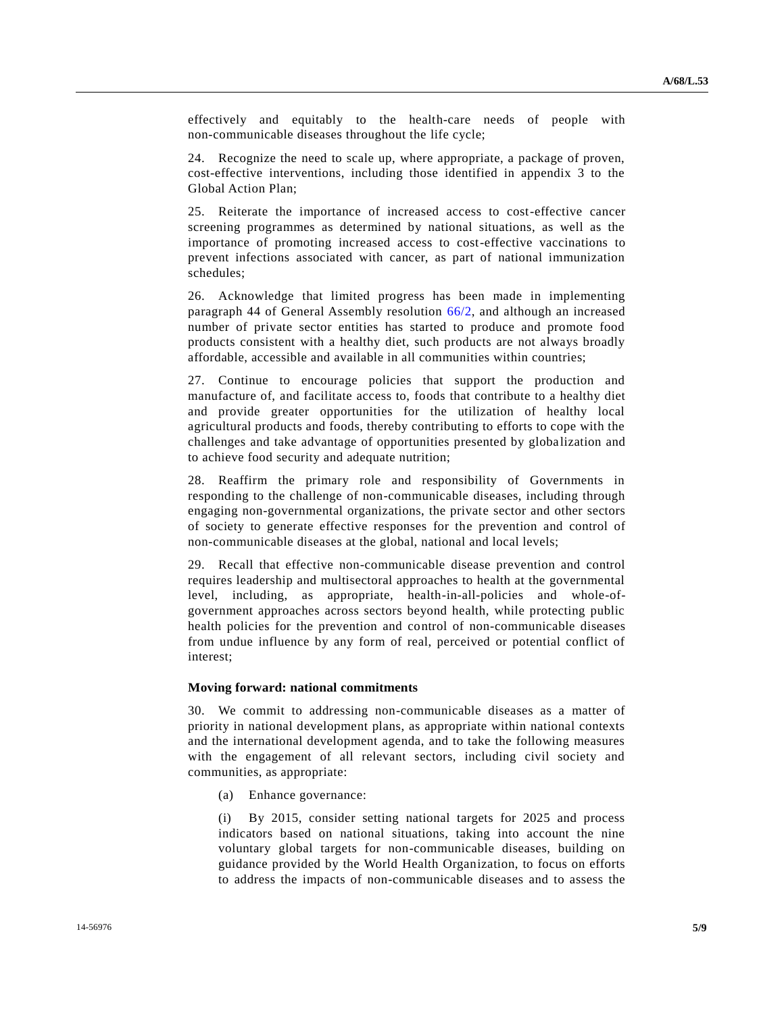effectively and equitably to the health-care needs of people with non-communicable diseases throughout the life cycle;

24. Recognize the need to scale up, where appropriate, a package of proven, cost-effective interventions, including those identified in appendix 3 to the Global Action Plan;

25. Reiterate the importance of increased access to cost-effective cancer screening programmes as determined by national situations, as well as the importance of promoting increased access to cost-effective vaccinations to prevent infections associated with cancer, as part of national immunization schedules;

26. Acknowledge that limited progress has been made in implementing paragraph 44 of General Assembly resolution [66/2,](http://undocs.org/A/RES/66/2) and although an increased number of private sector entities has started to produce and promote food products consistent with a healthy diet, such products are not always broadly affordable, accessible and available in all communities within countries;

27. Continue to encourage policies that support the production and manufacture of, and facilitate access to, foods that contribute to a healthy diet and provide greater opportunities for the utilization of healthy local agricultural products and foods, thereby contributing to efforts to cope with the challenges and take advantage of opportunities presented by globa lization and to achieve food security and adequate nutrition;

28. Reaffirm the primary role and responsibility of Governments in responding to the challenge of non-communicable diseases, including through engaging non-governmental organizations, the private sector and other sectors of society to generate effective responses for the prevention and control of non-communicable diseases at the global, national and local levels;

29. Recall that effective non-communicable disease prevention and control requires leadership and multisectoral approaches to health at the governmental level, including, as appropriate, health-in-all-policies and whole-ofgovernment approaches across sectors beyond health, while protecting public health policies for the prevention and control of non-communicable diseases from undue influence by any form of real, perceived or potential conflict of interest;

#### **Moving forward: national commitments**

30. We commit to addressing non-communicable diseases as a matter of priority in national development plans, as appropriate within national contexts and the international development agenda, and to take the following measures with the engagement of all relevant sectors, including civil society and communities, as appropriate:

(a) Enhance governance:

(i) By 2015, consider setting national targets for 2025 and process indicators based on national situations, taking into account the nine voluntary global targets for non-communicable diseases, building on guidance provided by the World Health Organization, to focus on efforts to address the impacts of non-communicable diseases and to assess the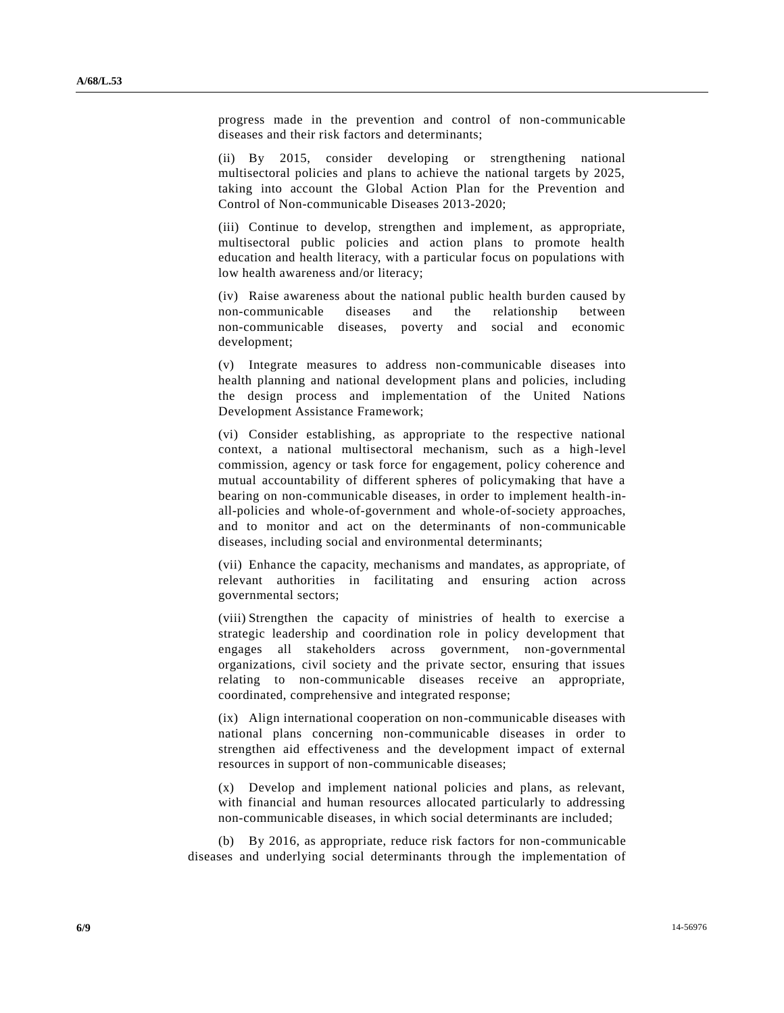progress made in the prevention and control of non-communicable diseases and their risk factors and determinants;

(ii) By 2015, consider developing or strengthening national multisectoral policies and plans to achieve the national targets by 2025, taking into account the Global Action Plan for the Prevention and Control of Non-communicable Diseases 2013-2020;

(iii) Continue to develop, strengthen and implement, as appropriate, multisectoral public policies and action plans to promote health education and health literacy, with a particular focus on populations with low health awareness and/or literacy;

(iv) Raise awareness about the national public health burden caused by non-communicable diseases and the relationship between non-communicable diseases, poverty and social and economic development;

(v) Integrate measures to address non-communicable diseases into health planning and national development plans and policies, including the design process and implementation of the United Nations Development Assistance Framework;

(vi) Consider establishing, as appropriate to the respective national context, a national multisectoral mechanism, such as a high-level commission, agency or task force for engagement, policy coherence and mutual accountability of different spheres of policymaking that have a bearing on non-communicable diseases, in order to implement health-inall-policies and whole-of-government and whole-of-society approaches, and to monitor and act on the determinants of non-communicable diseases, including social and environmental determinants;

(vii) Enhance the capacity, mechanisms and mandates, as appropriate, of relevant authorities in facilitating and ensuring action across governmental sectors;

(viii) Strengthen the capacity of ministries of health to exercise a strategic leadership and coordination role in policy development that engages all stakeholders across government, non-governmental organizations, civil society and the private sector, ensuring that issues relating to non-communicable diseases receive an appropriate, coordinated, comprehensive and integrated response;

(ix) Align international cooperation on non-communicable diseases with national plans concerning non-communicable diseases in order to strengthen aid effectiveness and the development impact of external resources in support of non-communicable diseases;

(x) Develop and implement national policies and plans, as relevant, with financial and human resources allocated particularly to addressing non-communicable diseases, in which social determinants are included;

(b) By 2016, as appropriate, reduce risk factors for non-communicable diseases and underlying social determinants through the implementation of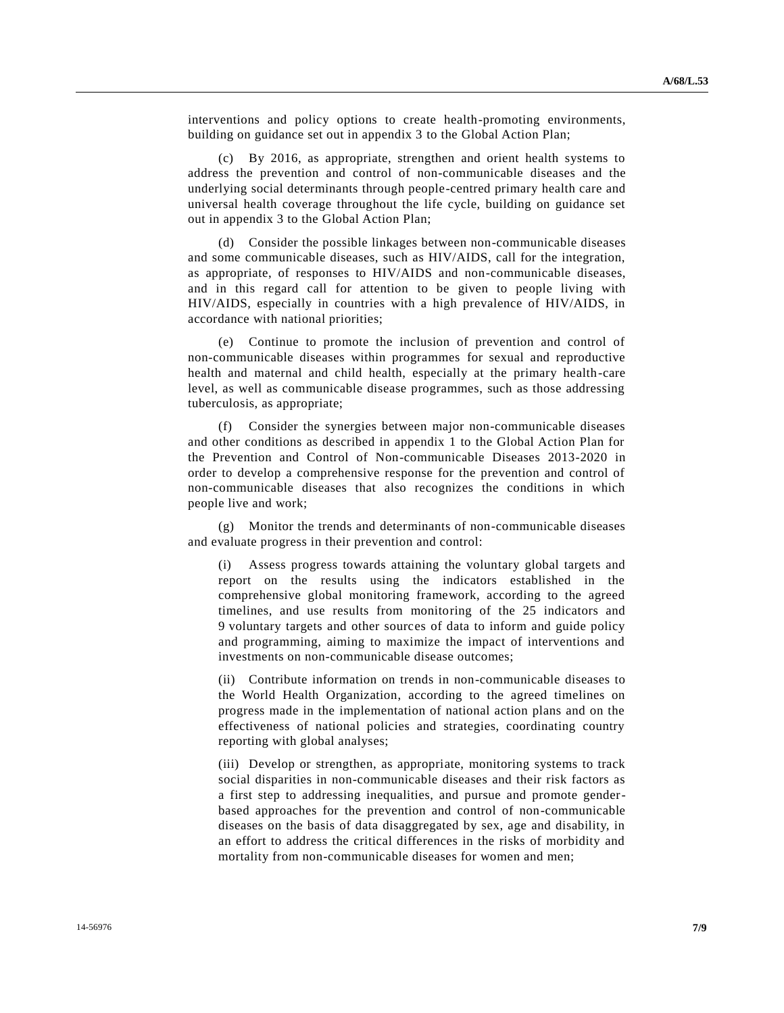interventions and policy options to create health-promoting environments, building on guidance set out in appendix 3 to the Global Action Plan;

By 2016, as appropriate, strengthen and orient health systems to address the prevention and control of non-communicable diseases and the underlying social determinants through people-centred primary health care and universal health coverage throughout the life cycle, building on guidance set out in appendix 3 to the Global Action Plan;

(d) Consider the possible linkages between non-communicable diseases and some communicable diseases, such as HIV/AIDS, call for the integration, as appropriate, of responses to HIV/AIDS and non-communicable diseases, and in this regard call for attention to be given to people living with HIV/AIDS, especially in countries with a high prevalence of HIV/AIDS, in accordance with national priorities;

(e) Continue to promote the inclusion of prevention and control of non-communicable diseases within programmes for sexual and reproductive health and maternal and child health, especially at the primary health-care level, as well as communicable disease programmes, such as those addressing tuberculosis, as appropriate;

(f) Consider the synergies between major non-communicable diseases and other conditions as described in appendix 1 to the Global Action Plan for the Prevention and Control of Non-communicable Diseases 2013-2020 in order to develop a comprehensive response for the prevention and control of non-communicable diseases that also recognizes the conditions in which people live and work;

(g) Monitor the trends and determinants of non-communicable diseases and evaluate progress in their prevention and control:

(i) Assess progress towards attaining the voluntary global targets and report on the results using the indicators established in the comprehensive global monitoring framework, according to the agreed timelines, and use results from monitoring of the 25 indicators and 9 voluntary targets and other sources of data to inform and guide policy and programming, aiming to maximize the impact of interventions and investments on non-communicable disease outcomes;

(ii) Contribute information on trends in non-communicable diseases to the World Health Organization, according to the agreed timelines on progress made in the implementation of national action plans and on the effectiveness of national policies and strategies, coordinating country reporting with global analyses;

(iii) Develop or strengthen, as appropriate, monitoring systems to track social disparities in non-communicable diseases and their risk factors as a first step to addressing inequalities, and pursue and promote genderbased approaches for the prevention and control of non-communicable diseases on the basis of data disaggregated by sex, age and disability, in an effort to address the critical differences in the risks of morbidity and mortality from non-communicable diseases for women and men;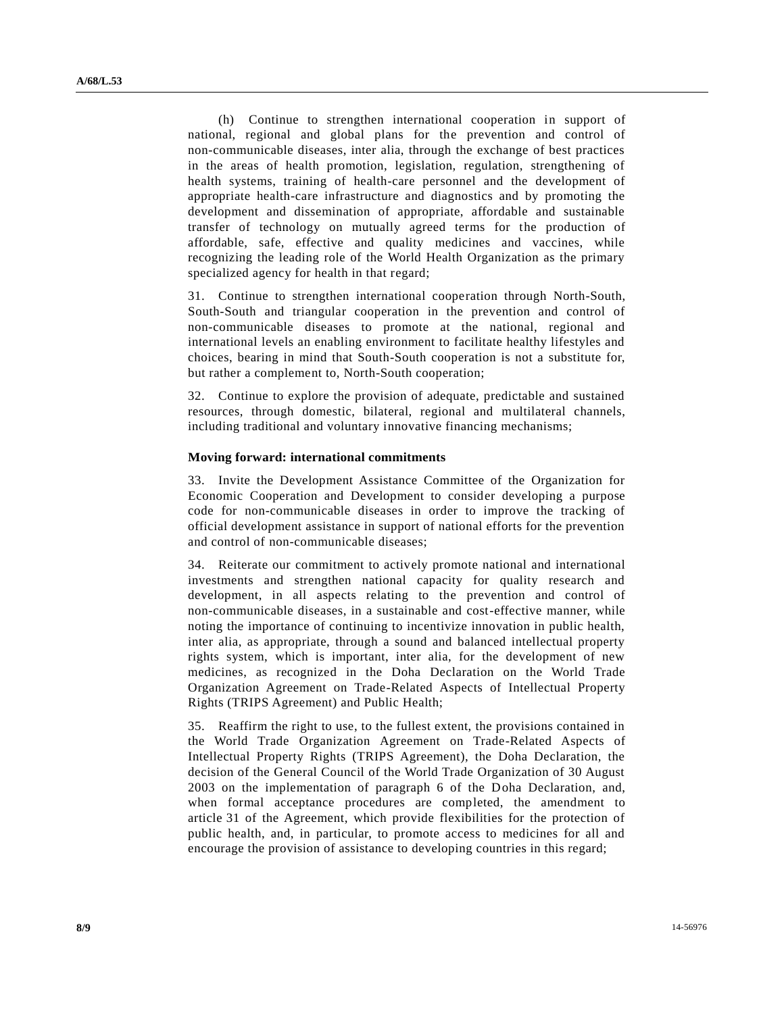(h) Continue to strengthen international cooperation in support of national, regional and global plans for the prevention and control of non-communicable diseases, inter alia, through the exchange of best practices in the areas of health promotion, legislation, regulation, strengthening of health systems, training of health-care personnel and the development of appropriate health-care infrastructure and diagnostics and by promoting the development and dissemination of appropriate, affordable and sustainable transfer of technology on mutually agreed terms for the production of affordable, safe, effective and quality medicines and vaccines, while recognizing the leading role of the World Health Organization as the primary specialized agency for health in that regard;

31. Continue to strengthen international cooperation through North-South, South-South and triangular cooperation in the prevention and control of non-communicable diseases to promote at the national, regional and international levels an enabling environment to facilitate healthy lifestyles and choices, bearing in mind that South-South cooperation is not a substitute for, but rather a complement to, North-South cooperation;

32. Continue to explore the provision of adequate, predictable and sustained resources, through domestic, bilateral, regional and multilateral channels, including traditional and voluntary innovative financing mechanisms;

#### **Moving forward: international commitments**

33. Invite the Development Assistance Committee of the Organization for Economic Cooperation and Development to consider developing a purpose code for non-communicable diseases in order to improve the tracking of official development assistance in support of national efforts for the prevention and control of non-communicable diseases;

34. Reiterate our commitment to actively promote national and international investments and strengthen national capacity for quality research and development, in all aspects relating to the prevention and control of non-communicable diseases, in a sustainable and cost-effective manner, while noting the importance of continuing to incentivize innovation in public health, inter alia, as appropriate, through a sound and balanced intellectual property rights system, which is important, inter alia, for the development of new medicines, as recognized in the Doha Declaration on the World Trade Organization Agreement on Trade-Related Aspects of Intellectual Property Rights (TRIPS Agreement) and Public Health;

35. Reaffirm the right to use, to the fullest extent, the provisions contained in the World Trade Organization Agreement on Trade-Related Aspects of Intellectual Property Rights (TRIPS Agreement), the Doha Declaration, the decision of the General Council of the World Trade Organization of 30 August 2003 on the implementation of paragraph 6 of the Doha Declaration, and, when formal acceptance procedures are completed, the amendment to article 31 of the Agreement, which provide flexibilities for the protection of public health, and, in particular, to promote access to medicines for all and encourage the provision of assistance to developing countries in this regard;